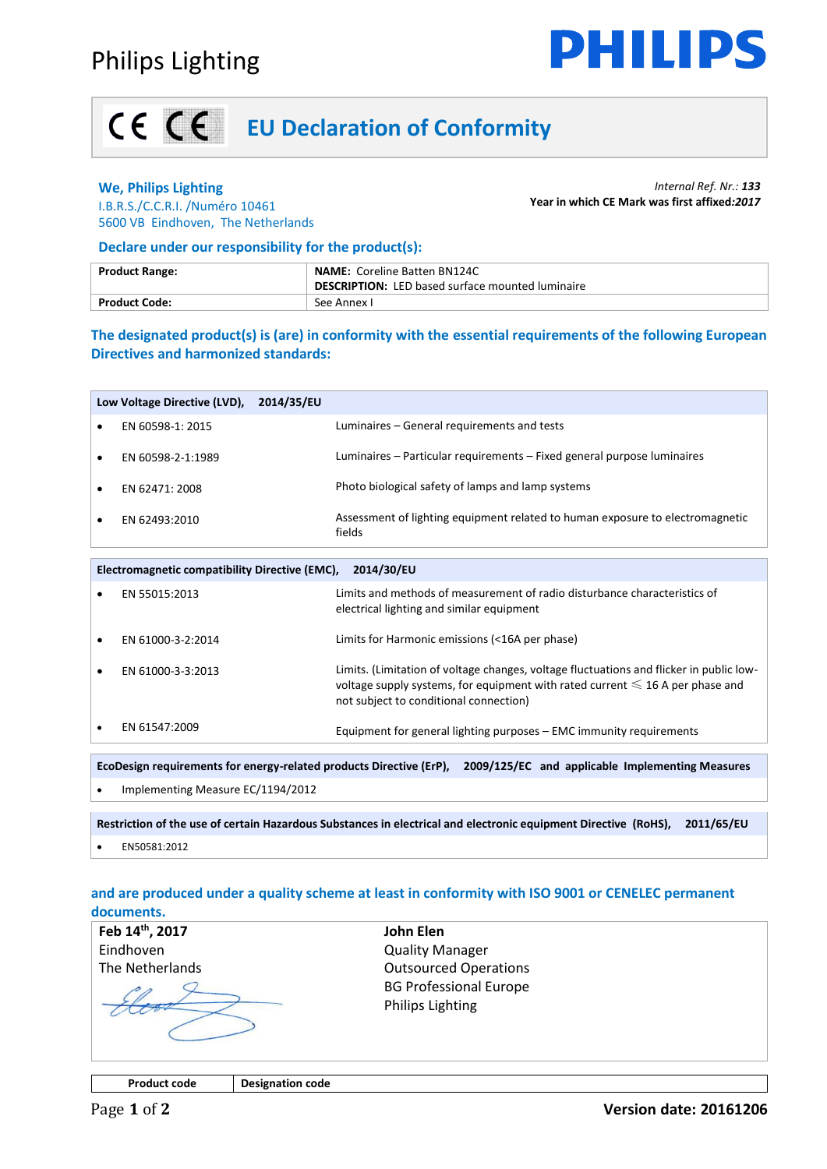

# **EU Declaration of Conformity**

### **We, Philips Lighting**

I.B.R.S./C.C.R.I. /Numéro 10461 5600 VB Eindhoven, The Netherlands

#### *Internal Ref. Nr.: 133* **Year in which CE Mark was first affixed***:2017*

**Declare under our responsibility for the product(s):**

| <b>Product Range:</b> | <b>NAME: Coreline Batten BN124C</b><br><b>DESCRIPTION:</b> LED based surface mounted luminaire |  |
|-----------------------|------------------------------------------------------------------------------------------------|--|
| Product Code:         | -See Annex L                                                                                   |  |

**The designated product(s) is (are) in conformity with the essential requirements of the following European Directives and harmonized standards:**

| Low Voltage Directive (LVD), | 2014/35/EU |                                                                                         |
|------------------------------|------------|-----------------------------------------------------------------------------------------|
| EN 60598-1: 2015             |            | Luminaires – General requirements and tests                                             |
| EN 60598-2-1:1989            |            | Luminaires – Particular requirements – Fixed general purpose luminaires                 |
| EN 62471: 2008               |            | Photo biological safety of lamps and lamp systems                                       |
| EN 62493:2010                |            | Assessment of lighting equipment related to human exposure to electromagnetic<br>fields |

| 2014/30/EU<br>Electromagnetic compatibility Directive (EMC),                                                            |                                   |                                                                                                                                                                                                                         |  |  |
|-------------------------------------------------------------------------------------------------------------------------|-----------------------------------|-------------------------------------------------------------------------------------------------------------------------------------------------------------------------------------------------------------------------|--|--|
| $\bullet$                                                                                                               | EN 55015:2013                     | Limits and methods of measurement of radio disturbance characteristics of<br>electrical lighting and similar equipment                                                                                                  |  |  |
|                                                                                                                         | EN 61000-3-2:2014                 | Limits for Harmonic emissions (<16A per phase)                                                                                                                                                                          |  |  |
|                                                                                                                         | EN 61000-3-3:2013                 | Limits. (Limitation of voltage changes, voltage fluctuations and flicker in public low-<br>voltage supply systems, for equipment with rated current $\leq 16$ A per phase and<br>not subject to conditional connection) |  |  |
|                                                                                                                         | EN 61547:2009                     | Equipment for general lighting purposes - EMC immunity requirements                                                                                                                                                     |  |  |
|                                                                                                                         |                                   |                                                                                                                                                                                                                         |  |  |
| EcoDesign requirements for energy-related products Directive (ErP),<br>2009/125/EC and applicable Implementing Measures |                                   |                                                                                                                                                                                                                         |  |  |
|                                                                                                                         | Implementing Measure EC/1194/2012 |                                                                                                                                                                                                                         |  |  |

**Restriction of the use of certain Hazardous Substances in electrical and electronic equipment Directive (RoHS), 2011/65/EU**  • EN50581:2012

### **and are produced under a quality scheme at least in conformity with ISO 9001 or CENELEC permanent documents.**

**Feb 14th, 2017** Eindhoven The Netherlands **John Elen** Quality Manager Outsourced Operations BG Professional Europe Philips Lighting

**Product code Designation code**